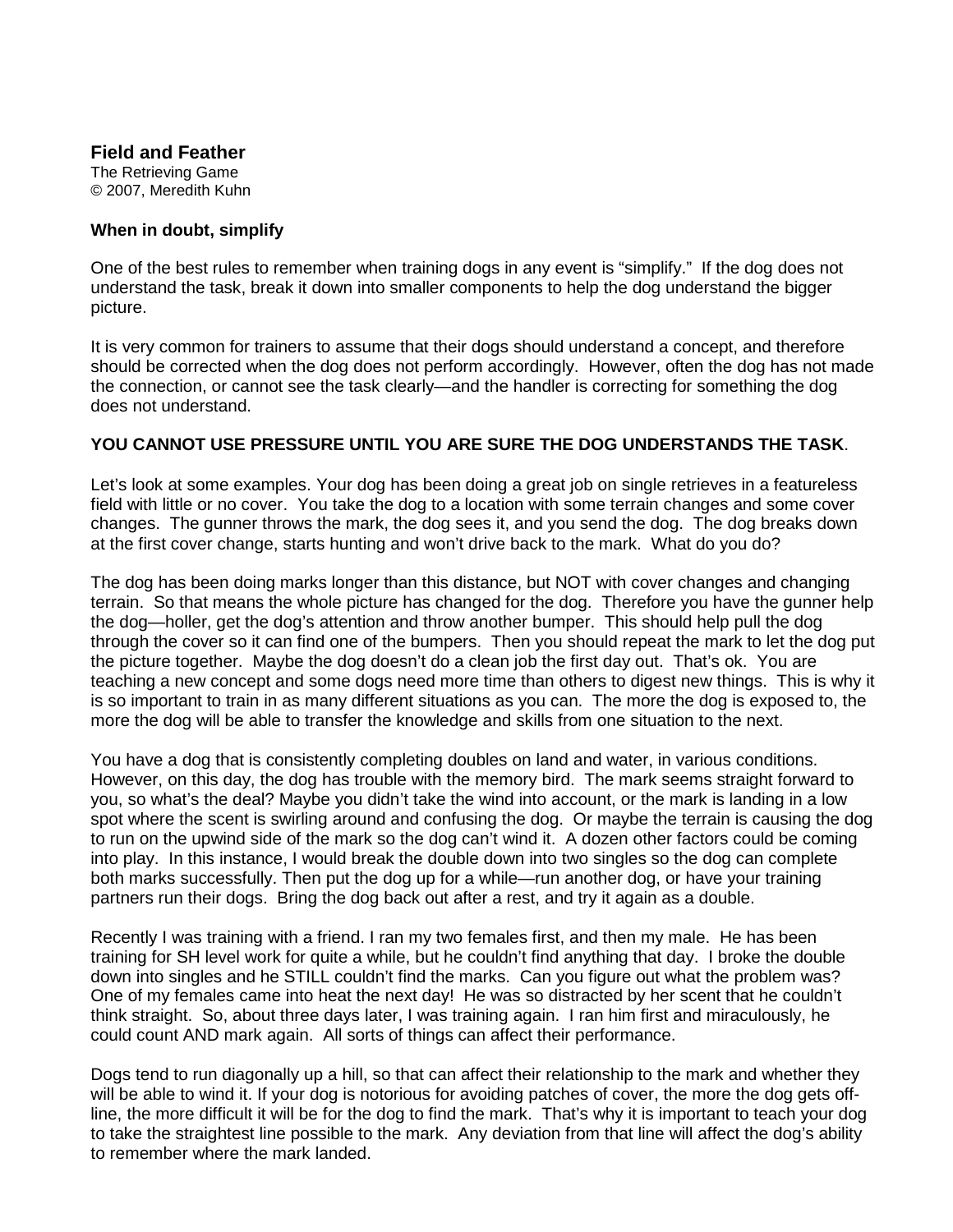## **Field and Feather**

The Retrieving Game © 2007, Meredith Kuhn

## **When in doubt, simplify**

One of the best rules to remember when training dogs in any event is "simplify." If the dog does not understand the task, break it down into smaller components to help the dog understand the bigger picture.

It is very common for trainers to assume that their dogs should understand a concept, and therefore should be corrected when the dog does not perform accordingly. However, often the dog has not made the connection, or cannot see the task clearly—and the handler is correcting for something the dog does not understand.

## **YOU CANNOT USE PRESSURE UNTIL YOU ARE SURE THE DOG UNDERSTANDS THE TASK**.

Let's look at some examples. Your dog has been doing a great job on single retrieves in a featureless field with little or no cover. You take the dog to a location with some terrain changes and some cover changes. The gunner throws the mark, the dog sees it, and you send the dog. The dog breaks down at the first cover change, starts hunting and won't drive back to the mark. What do you do?

The dog has been doing marks longer than this distance, but NOT with cover changes and changing terrain. So that means the whole picture has changed for the dog. Therefore you have the gunner help the dog—holler, get the dog's attention and throw another bumper. This should help pull the dog through the cover so it can find one of the bumpers. Then you should repeat the mark to let the dog put the picture together. Maybe the dog doesn't do a clean job the first day out. That's ok. You are teaching a new concept and some dogs need more time than others to digest new things. This is why it is so important to train in as many different situations as you can. The more the dog is exposed to, the more the dog will be able to transfer the knowledge and skills from one situation to the next.

You have a dog that is consistently completing doubles on land and water, in various conditions. However, on this day, the dog has trouble with the memory bird. The mark seems straight forward to you, so what's the deal? Maybe you didn't take the wind into account, or the mark is landing in a low spot where the scent is swirling around and confusing the dog. Or maybe the terrain is causing the dog to run on the upwind side of the mark so the dog can't wind it. A dozen other factors could be coming into play. In this instance, I would break the double down into two singles so the dog can complete both marks successfully. Then put the dog up for a while—run another dog, or have your training partners run their dogs. Bring the dog back out after a rest, and try it again as a double.

Recently I was training with a friend. I ran my two females first, and then my male. He has been training for SH level work for quite a while, but he couldn't find anything that day. I broke the double down into singles and he STILL couldn't find the marks. Can you figure out what the problem was? One of my females came into heat the next day! He was so distracted by her scent that he couldn't think straight. So, about three days later, I was training again. I ran him first and miraculously, he could count AND mark again. All sorts of things can affect their performance.

Dogs tend to run diagonally up a hill, so that can affect their relationship to the mark and whether they will be able to wind it. If your dog is notorious for avoiding patches of cover, the more the dog gets offline, the more difficult it will be for the dog to find the mark. That's why it is important to teach your dog to take the straightest line possible to the mark. Any deviation from that line will affect the dog's ability to remember where the mark landed.